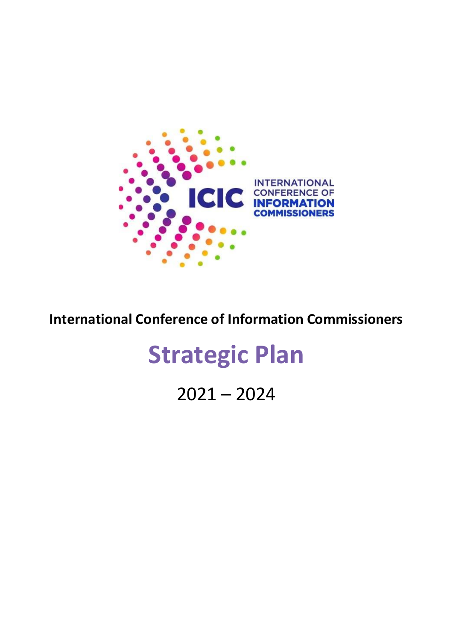

**International Conference of Information Commissioners** 

# **Strategic Plan**

 $2021 - 2024$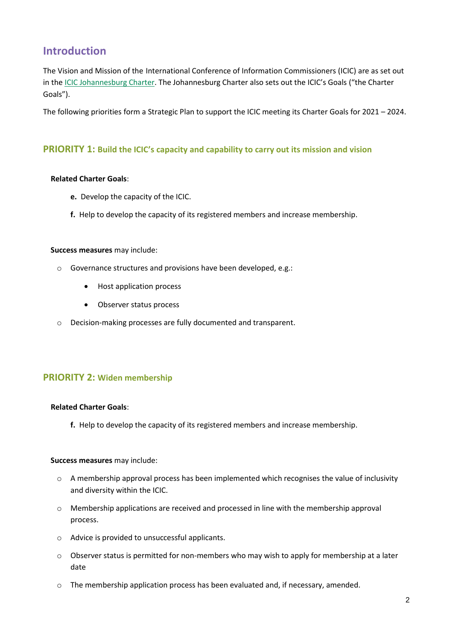# **Introduction**

The Vision and Mission of the International Conference of Information Commissioners (ICIC) are as set out in the [ICIC Johannesburg Charter](https://www.informationcommissioners.org/the-icic-johannesburg-charter). The Johannesburg Charter also sets out the ICIC's Goals ("the Charter Goals").

The following priorities form a Strategic Plan to support the ICIC meeting its Charter Goals for 2021 – 2024.

# **PRIORITY 1: Build the ICIC's capacity and capability to carry out its mission and vision**

# **Related Charter Goals**:

- **e.** Develop the capacity of the ICIC.
- **f.** Help to develop the capacity of its registered members and increase membership.

# **Success measures** may include:

- o Governance structures and provisions have been developed, e.g.:
	- Host application process
	- Observer status process
- o Decision-making processes are fully documented and transparent.

# **PRIORITY 2: Widen membership**

# **Related Charter Goals**:

**f.** Help to develop the capacity of its registered members and increase membership.

## **Success measures** may include:

- $\circ$  A membership approval process has been implemented which recognises the value of inclusivity and diversity within the ICIC.
- o Membership applications are received and processed in line with the membership approval process.
- o Advice is provided to unsuccessful applicants.
- $\circ$  Observer status is permitted for non-members who may wish to apply for membership at a later date
- o The membership application process has been evaluated and, if necessary, amended.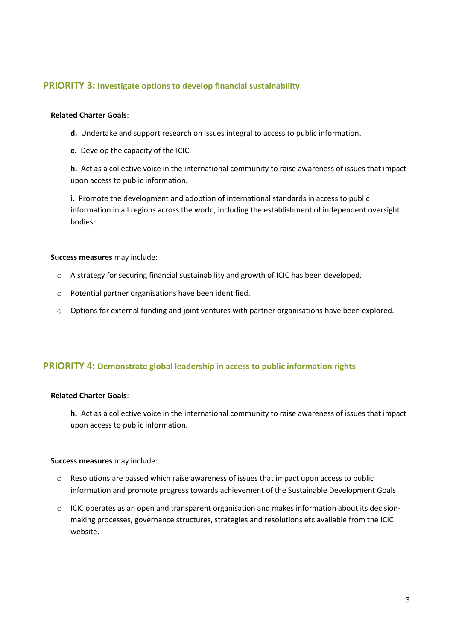# **PRIORITY 3: Investigate options to develop financial sustainability**

#### **Related Charter Goals**:

- **d.** Undertake and support research on issues integral to access to public information.
- **e.** Develop the capacity of the ICIC.

**h.** Act as a collective voice in the international community to raise awareness of issues that impact upon access to public information.

**i.** Promote the development and adoption of international standards in access to public information in all regions across the world, including the establishment of independent oversight bodies.

#### **Success measures** may include:

- o A strategy for securing financial sustainability and growth of ICIC has been developed.
- o Potential partner organisations have been identified.
- o Options for external funding and joint ventures with partner organisations have been explored.

# **PRIORITY 4: Demonstrate global leadership in access to public information rights**

# **Related Charter Goals**:

**h.** Act as a collective voice in the international community to raise awareness of issues that impact upon access to public information.

#### **Success measures** may include:

- o Resolutions are passed which raise awareness of issues that impact upon access to public information and promote progress towards achievement of the Sustainable Development Goals.
- $\circ$  ICIC operates as an open and transparent organisation and makes information about its decisionmaking processes, governance structures, strategies and resolutions etc available from the ICIC website.